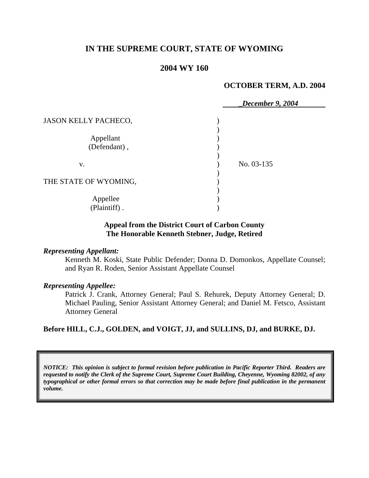# **IN THE SUPREME COURT, STATE OF WYOMING**

# **2004 WY 160**

#### **OCTOBER TERM, A.D. 2004**

|                             | December 9, 2004 |
|-----------------------------|------------------|
| <b>JASON KELLY PACHECO,</b> |                  |
| Appellant<br>(Defendant),   |                  |
| V.                          | No. 03-135       |
| THE STATE OF WYOMING,       |                  |
| Appellee<br>(Plaintiff).    |                  |

### **Appeal from the District Court of Carbon County The Honorable Kenneth Stebner, Judge, Retired**

#### *Representing Appellant:*

Kenneth M. Koski, State Public Defender; Donna D. Domonkos, Appellate Counsel; and Ryan R. Roden, Senior Assistant Appellate Counsel

### *Representing Appellee:*

Patrick J. Crank, Attorney General; Paul S. Rehurek, Deputy Attorney General; D. Michael Pauling, Senior Assistant Attorney General; and Daniel M. Fetsco, Assistant Attorney General

**Before HILL, C.J., GOLDEN, and VOIGT, JJ, and SULLINS, DJ, and BURKE, DJ.** 

*NOTICE: This opinion is subject to formal revision before publication in Pacific Reporter Third. Readers are requested to notify the Clerk of the Supreme Court, Supreme Court Building, Cheyenne, Wyoming 82002, of any typographical or other formal errors so that correction may be made before final publication in the permanent volume.*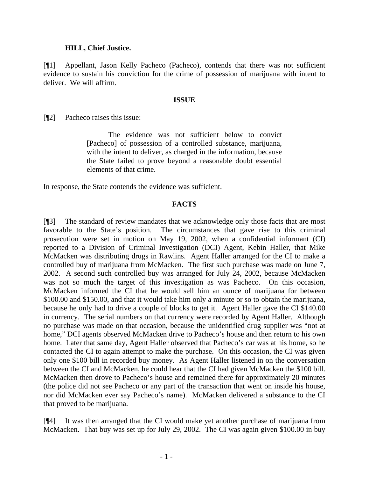### **HILL, Chief Justice.**

[¶1] Appellant, Jason Kelly Pacheco (Pacheco), contends that there was not sufficient evidence to sustain his conviction for the crime of possession of marijuana with intent to deliver. We will affirm.

#### **ISSUE**

[¶2] Pacheco raises this issue:

The evidence was not sufficient below to convict [Pacheco] of possession of a controlled substance, marijuana, with the intent to deliver, as charged in the information, because the State failed to prove beyond a reasonable doubt essential elements of that crime.

In response, the State contends the evidence was sufficient.

## **FACTS**

[¶3] The standard of review mandates that we acknowledge only those facts that are most favorable to the State's position. The circumstances that gave rise to this criminal prosecution were set in motion on May 19, 2002, when a confidential informant (CI) reported to a Division of Criminal Investigation (DCI) Agent, Kebin Haller, that Mike McMacken was distributing drugs in Rawlins. Agent Haller arranged for the CI to make a controlled buy of marijuana from McMacken. The first such purchase was made on June 7, 2002. A second such controlled buy was arranged for July 24, 2002, because McMacken was not so much the target of this investigation as was Pacheco. On this occasion, McMacken informed the CI that he would sell him an ounce of marijuana for between \$100.00 and \$150.00, and that it would take him only a minute or so to obtain the marijuana, because he only had to drive a couple of blocks to get it. Agent Haller gave the CI \$140.00 in currency. The serial numbers on that currency were recorded by Agent Haller. Although no purchase was made on that occasion, because the unidentified drug supplier was "not at home," DCI agents observed McMacken drive to Pacheco's house and then return to his own home. Later that same day, Agent Haller observed that Pacheco's car was at his home, so he contacted the CI to again attempt to make the purchase. On this occasion, the CI was given only one \$100 bill in recorded buy money. As Agent Haller listened in on the conversation between the CI and McMacken, he could hear that the CI had given McMacken the \$100 bill. McMacken then drove to Pacheco's house and remained there for approximately 20 minutes (the police did not see Pacheco or any part of the transaction that went on inside his house, nor did McMacken ever say Pacheco's name). McMacken delivered a substance to the CI that proved to be marijuana.

[¶4] It was then arranged that the CI would make yet another purchase of marijuana from McMacken. That buy was set up for July 29, 2002. The CI was again given \$100.00 in buy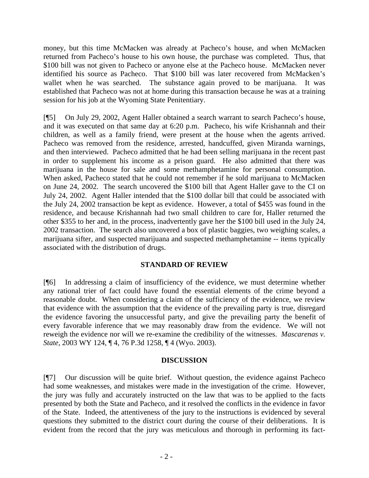money, but this time McMacken was already at Pacheco's house, and when McMacken returned from Pacheco's house to his own house, the purchase was completed. Thus, that \$100 bill was not given to Pacheco or anyone else at the Pacheco house. McMacken never identified his source as Pacheco. That \$100 bill was later recovered from McMacken's wallet when he was searched. The substance again proved to be marijuana. It was established that Pacheco was not at home during this transaction because he was at a training session for his job at the Wyoming State Penitentiary.

[¶5] On July 29, 2002, Agent Haller obtained a search warrant to search Pacheco's house, and it was executed on that same day at 6:20 p.m. Pacheco, his wife Krishannah and their children, as well as a family friend, were present at the house when the agents arrived. Pacheco was removed from the residence, arrested, handcuffed, given Miranda warnings, and then interviewed. Pacheco admitted that he had been selling marijuana in the recent past in order to supplement his income as a prison guard. He also admitted that there was marijuana in the house for sale and some methamphetamine for personal consumption. When asked, Pacheco stated that he could not remember if he sold marijuana to McMacken on June 24, 2002. The search uncovered the \$100 bill that Agent Haller gave to the CI on July 24, 2002. Agent Haller intended that the \$100 dollar bill that could be associated with the July 24, 2002 transaction be kept as evidence. However, a total of \$455 was found in the residence, and because Krishannah had two small children to care for, Haller returned the other \$355 to her and, in the process, inadvertently gave her the \$100 bill used in the July 24, 2002 transaction. The search also uncovered a box of plastic baggies, two weighing scales, a marijuana sifter, and suspected marijuana and suspected methamphetamine -- items typically associated with the distribution of drugs.

# **STANDARD OF REVIEW**

[¶6] In addressing a claim of insufficiency of the evidence, we must determine whether any rational trier of fact could have found the essential elements of the crime beyond a reasonable doubt. When considering a claim of the sufficiency of the evidence, we review that evidence with the assumption that the evidence of the prevailing party is true, disregard the evidence favoring the unsuccessful party, and give the prevailing party the benefit of every favorable inference that we may reasonably draw from the evidence. We will not reweigh the evidence nor will we re-examine the credibility of the witnesses. *Mascarenas v. State*, 2003 WY 124, ¶ 4, 76 P.3d 1258, ¶ 4 (Wyo. 2003).

### **DISCUSSION**

[¶7] Our discussion will be quite brief. Without question, the evidence against Pacheco had some weaknesses, and mistakes were made in the investigation of the crime. However, the jury was fully and accurately instructed on the law that was to be applied to the facts presented by both the State and Pacheco, and it resolved the conflicts in the evidence in favor of the State. Indeed, the attentiveness of the jury to the instructions is evidenced by several questions they submitted to the district court during the course of their deliberations. It is evident from the record that the jury was meticulous and thorough in performing its fact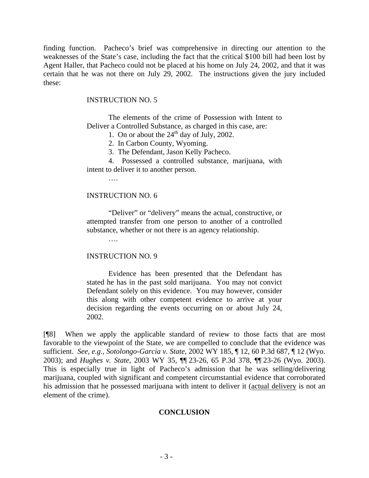finding function. Pacheco's brief was comprehensive in directing our attention to the weaknesses of the State's case, including the fact that the critical \$100 bill had been lost by Agent Haller, that Pacheco could not be placed at his home on July 24, 2002, and that it was certain that he was not there on July 29, 2002. The instructions given the jury included these:

# INSTRUCTION NO. 5

The elements of the crime of Possession with Intent to Deliver a Controlled Substance, as charged in this case, are:

1. On or about the  $24<sup>th</sup>$  day of July, 2002.

2. In Carbon County, Wyoming.

3. The Defendant, Jason Kelly Pacheco.

4. Possessed a controlled substance, marijuana, with intent to deliver it to another person.

….

## INSTRUCTION NO. 6

"Deliver" or "delivery" means the actual, constructive, or attempted transfer from one person to another of a controlled substance, whether or not there is an agency relationship.

….

### INSTRUCTION NO. 9

Evidence has been presented that the Defendant has stated he has in the past sold marijuana. You may not convict Defendant solely on this evidence. You may however, consider this along with other competent evidence to arrive at your decision regarding the events occurring on or about July 24, 2002.

[¶8] When we apply the applicable standard of review to those facts that are most favorable to the viewpoint of the State, we are compelled to conclude that the evidence was sufficient. *See, e.g., Sotolongo-Garcia v. State*, 2002 WY 185, ¶ 12, 60 P.3d 687, ¶ 12 (Wyo. 2003); and *Hughes v. State*, 2003 WY 35, ¶¶ 23-26, 65 P.3d 378, ¶¶ 23-26 (Wyo. 2003). This is especially true in light of Pacheco's admission that he was selling/delivering marijuana, coupled with significant and competent circumstantial evidence that corroborated his admission that he possessed marijuana with intent to deliver it (actual delivery is not an element of the crime).

# **CONCLUSION**